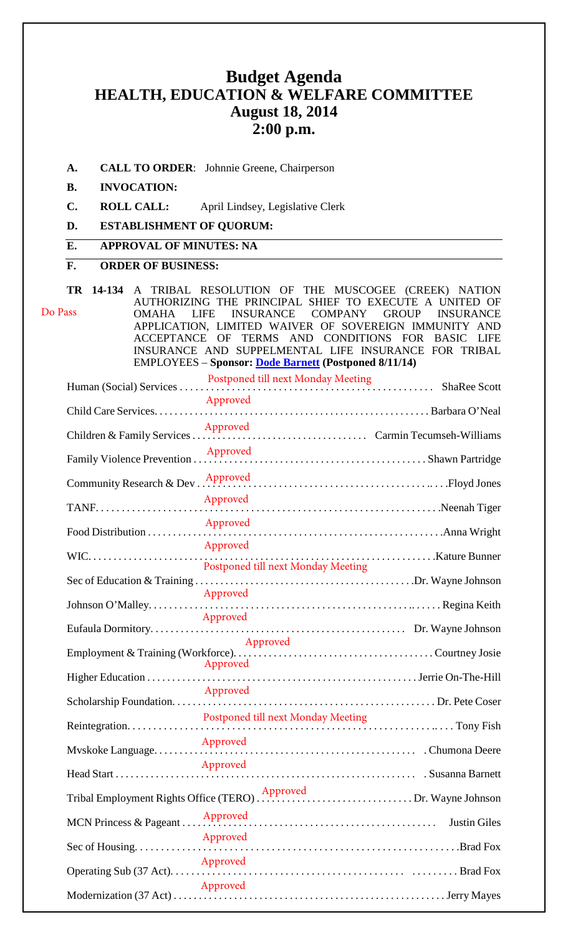# **Budget Agenda HEALTH, EDUCATION & WELFARE COMMITTEE August 18, 2014 2:00 p.m.**

**A. CALL TO ORDER**: Johnnie Greene, Chairperson

#### **B. INVOCATION:**

- **C. ROLL CALL:** April Lindsey, Legislative Clerk
- **D. ESTABLISHMENT OF QUORUM:**

### **E. APPROVAL OF MINUTES: NA**

### **F. ORDER OF BUSINESS:**

**TR 14-134** A TRIBAL RESOLUTION OF THE MUSCOGEE (CREEK) NATION AUTHORIZING THE PRINCIPAL SHIEF TO EXECUTE A UNITED OF OMAHA LIFE INSURANCE COMPANY GROUP INSURANCE APPLICATION, LIMITED WAIVER OF SOVEREIGN IMMUNITY AND ACCEPTANCE OF TERMS AND CONDITIONS FOR BASIC LIFE INSURANCE AND SUPPELMENTAL LIFE INSURANCE FOR TRIBAL EMPLOYEES – **Sponsor: [Dode Barnett](mailto:dbarnett@mcn-nsn.gov) (Postponed 8/11/14)**  Human (Social) Services . . . . . . . . . . . . . . . . . . . . . . . . . . . . . . . . . . . . . . . . . . . . . . . . . ShaRee Scott Postponed till next Monday Meeting Child Care Services. . . . . . . . . . . . . . . . . . . . . . . . . . . . . . . . . . . . . . . . . . . . . . . . . . . . . . . Barbara O'Neal Children & Family Services . . . . . . . . . . . . . . . . . . . . . . . . . . . . . . . . . . . Carmin Tecumseh-Williams Do Pass Approved Approved

| Community Research & Dev |                                    |              |  |
|--------------------------|------------------------------------|--------------|--|
|                          | Approved                           | Neenah Tiger |  |
| Food Distribution        | Approved                           |              |  |
|                          | Approved                           |              |  |
|                          | Postponed till next Monday Meeting |              |  |
|                          |                                    |              |  |
|                          | Approved                           |              |  |
|                          | Approved                           |              |  |
|                          | Approved                           |              |  |
|                          | Approved                           |              |  |
|                          |                                    |              |  |
|                          | Approved                           |              |  |
|                          | Approved                           |              |  |
|                          |                                    |              |  |
| MCN Princess & Pageant   |                                    |              |  |
|                          | Approved                           |              |  |
|                          | Approved                           |              |  |
|                          | Approved                           |              |  |

Modernization (37 Act) . . . . . . . . . . . . . . . . . . . . . . . . . . . . . . . . . . . . . . . . . . . . . . . . . . . . . . Jerry Mayes